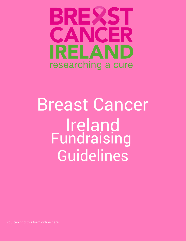

# Breast Cancer Ireland Fundraising Guidelines

You can find this form online here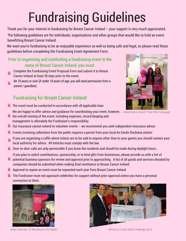### Fundraising Guidelines

Thank you for your interest in fundraising for Breast Cancer Ireland – your support is very much appreciated.

The following guidelines are for individuals, organisations and other groups that would like to hold an event benefitting Breast Cancer Ireland.

We want you're fundraising to be an enjoyable experience as well as being safe and legal, so please read these guidelines before completing the Fundraising Event Agreement Form.

#### Prior to organising and conducting a fundraising event in the name of Breast Cancer Ireland, you must:

- Complete the Fundraising Event Proposal Form and submit it to Breast Cancer Ireland at least 30 days prior to the event.
- Be 18 years or over (if under 18 years of age, you will need permission from a  $\overline{\mathbf{R}}$ parent / guardian).

### Fundraising for Breast Cancer Ireland:

**R** The event must be conducted in accordance with all applicable laws

We are happy to offer advice and guidance for coordinating your event, however, Debenhams Ireland 'T*hink Pink'* Campaign

- **R** the overall running of the event, including expenses, record keeping and management is ultimately the Fundraiser's responsibility
- $\mathbf{R}$ Our insurance cannot extend to volunteer events – we recommend you seek independent insurance advice
- $\mathbf{R}$ Events involving collections from the public requires a permit from your local An Garda Siochana station
- If you are organising a raffle where tickets are to be sold to anyone other than to your guests you should contact your  $\overline{\mathbf{R}}$ local authority for advice. All lotteries must comply with the law.
- **R** Door-to-door calls are only permissible if you know the residents and should be made during daylight hours.

If you plan to solicit contributions, sponsorship, or in-kind gifts from businesses, please provide us with a list of

- **8** potential business sponsors for review and approval prior to approaching. A list of all goods and services donated by companies should be submitted when making final remittance to Breast Cancer Ireland
- Approval to repeat an event must be requested each year from Breast Cancer Ireland
- **X** The Fundraiser must not approach celebrities for support without prior approval unless you have a personal connection to them.



Aiden Sheridan *'52 Marathons in 52 Weeks'* Kilmacud Crokes M2M Challenge 2016